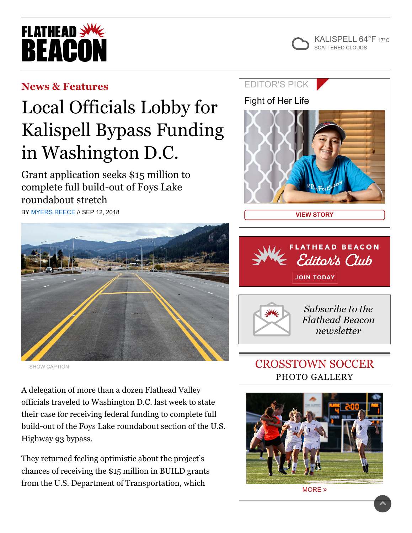



## **[News & Features](https://flatheadbeacon.com/section/news-features/)**

# Local Officials Lobby for Kalispell Bypass Funding in Washington D.C.

Grant application seeks \$15 million to complete full build-out of Foys Lake roundabout stretch BY [MYERS REECE](https://flatheadbeacon.com/author/myers-reece/) // SEP 12, 2018



SHOW CAPTION

A delegation of more than a dozen Flathead Valley officials traveled to Washington D.C. last week to state their case for receiving federal funding to complete full build-out of the Foys Lake roundabout section of the U.S. Highway 93 bypass.

They returned feeling optimistic about the project's chances of receiving the \$15 million in BUILD grants from the U.S. Department of Transportation, which

### [EDITOR'S](https://flatheadbeacon.com/2018/09/12/fight-of-her-life/) PICK

[Fight of Her Life](https://flatheadbeacon.com/2018/09/12/fight-of-her-life/)







Subscribe to the **Flathead Beacon** newsletter

# CROSSTOWN SOCCER PHOTO GALLERY



[MORE](https://flatheadbeacon.com/galleries/photos-crosstown-soccer-2018/) »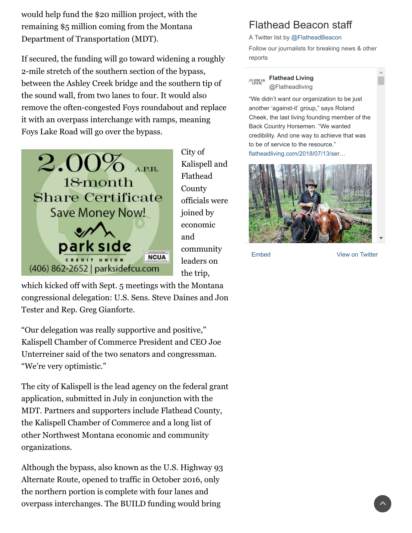would help fund the \$20 million project, with the remaining \$5 million coming from the Montana Department of Transportation (MDT).

If secured, the funding will go toward widening a roughly 2-mile stretch of the southern section of the bypass, between the Ashley Creek bridge and the southern tip of the sound wall, from two lanes to four. It would also remove the often-congested Foys roundabout and replace it with an overpass interchange with ramps, meaning Foys Lake Road will go over the bypass.



City of Kalispell and Flathead **County** officials were joined by economic and community leaders on the trip,

which kicked off with Sept. 5 meetings with the Montana congressional delegation: U.S. Sens. Steve Daines and Jon Tester and Rep. Greg Gianforte.

"Our delegation was really supportive and positive," Kalispell Chamber of Commerce President and CEO Joe Unterreiner said of the two senators and congressman. "We're very optimistic."

The city of Kalispell is the lead agency on the federal grant application, submitted in July in conjunction with the MDT. Partners and supporters include Flathead County, the Kalispell Chamber of Commerce and a long list of other Northwest Montana economic and community organizations.

Although the bypass, also known as the U.S. Highway 93 Alternate Route, opened to traffic in October 2016, only the northern portion is complete with four lanes and overpass interchanges. The BUILD funding would bring

## Flathead Beacon staff

A Twitter list by [@FlatheadBeacon](https://twitter.com/FlatheadBeacon)

Follow our journalists for breaking news & other reports

#### **[Flathead Living](https://twitter.com/Flatheadliving) FLATHEAD** @Flatheadliving

"We didn't want our organization to be just another 'against-it' group," says Roland Cheek, the last living founding member of the Back Country Horsemen. "We wanted credibility. And one way to achieve that was to be of service to the resource." [flatheadliving.com/2018/07/13/ser…](https://t.co/gHoo4IHa23)



[Embed](https://publish.twitter.com/?url=https%3A%2F%2Ftwitter.com%2FFlatheadBeacon%2Flists%2Fflathead-beacon-staff) [View on Twitter](https://twitter.com/FlatheadBeacon/lists/flathead-beacon-staff)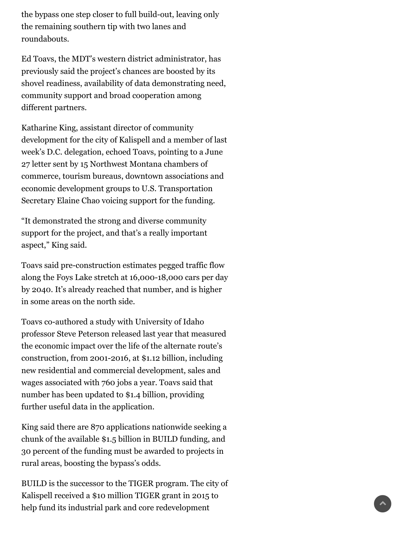the bypass one step closer to full build-out, leaving only the remaining southern tip with two lanes and roundabouts.

Ed Toavs, the MDT's western district administrator, has previously said the project's chances are boosted by its shovel readiness, availability of data demonstrating need, community support and broad cooperation among different partners.

Katharine King, assistant director of community development for the city of Kalispell and a member of last week's D.C. delegation, echoed Toavs, pointing to a June 27 letter sent by 15 Northwest Montana chambers of commerce, tourism bureaus, downtown associations and economic development groups to U.S. Transportation Secretary Elaine Chao voicing support for the funding.

"It demonstrated the strong and diverse community support for the project, and that's a really important aspect," King said.

Toavs said pre-construction estimates pegged traffic flow along the Foys Lake stretch at 16,000-18,000 cars per day by 2040. It's already reached that number, and is higher in some areas on the north side.

Toavs co-authored a study with University of Idaho professor Steve Peterson released last year that measured the economic impact over the life of the alternate route's construction, from 2001-2016, at \$1.12 billion, including new residential and commercial development, sales and wages associated with 760 jobs a year. Toavs said that number has been updated to \$1.4 billion, providing further useful data in the application.

King said there are 870 applications nationwide seeking a chunk of the available \$1.5 billion in BUILD funding, and 30 percent of the funding must be awarded to projects in rural areas, boosting the bypass's odds.

BUILD is the successor to the TIGER program. The city of Kalispell received a \$10 million TIGER grant in 2015 to help fund its industrial park and core redevelopment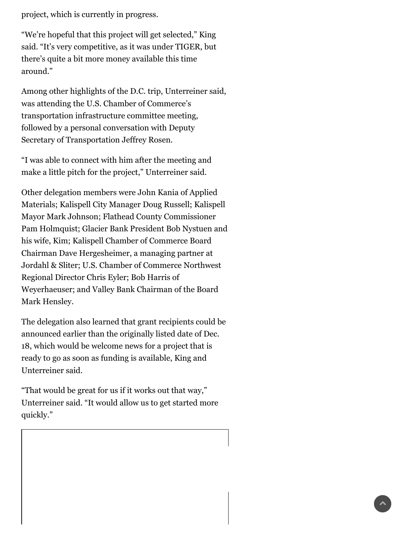project, which is currently in progress.

"We're hopeful that this project will get selected," King said. "It's very competitive, as it was under TIGER, but there's quite a bit more money available this time around."

Among other highlights of the D.C. trip, Unterreiner said, was attending the U.S. Chamber of Commerce's transportation infrastructure committee meeting, followed by a personal conversation with Deputy Secretary of Transportation Jeffrey Rosen.

"I was able to connect with him after the meeting and make a little pitch for the project," Unterreiner said.

Other delegation members were John Kania of Applied Materials; Kalispell City Manager Doug Russell; Kalispell Mayor Mark Johnson; Flathead County Commissioner Pam Holmquist; Glacier Bank President Bob Nystuen and his wife, Kim; Kalispell Chamber of Commerce Board Chairman Dave Hergesheimer, a managing partner at Jordahl & Sliter; U.S. Chamber of Commerce Northwest Regional Director Chris Eyler; Bob Harris of Weyerhaeuser; and Valley Bank Chairman of the Board Mark Hensley.

The delegation also learned that grant recipients could be announced earlier than the originally listed date of Dec. 18, which would be welcome news for a project that is ready to go as soon as funding is available, King and Unterreiner said.

"That would be great for us if it works out that way," Unterreiner said. "It would allow us to get started more quickly."